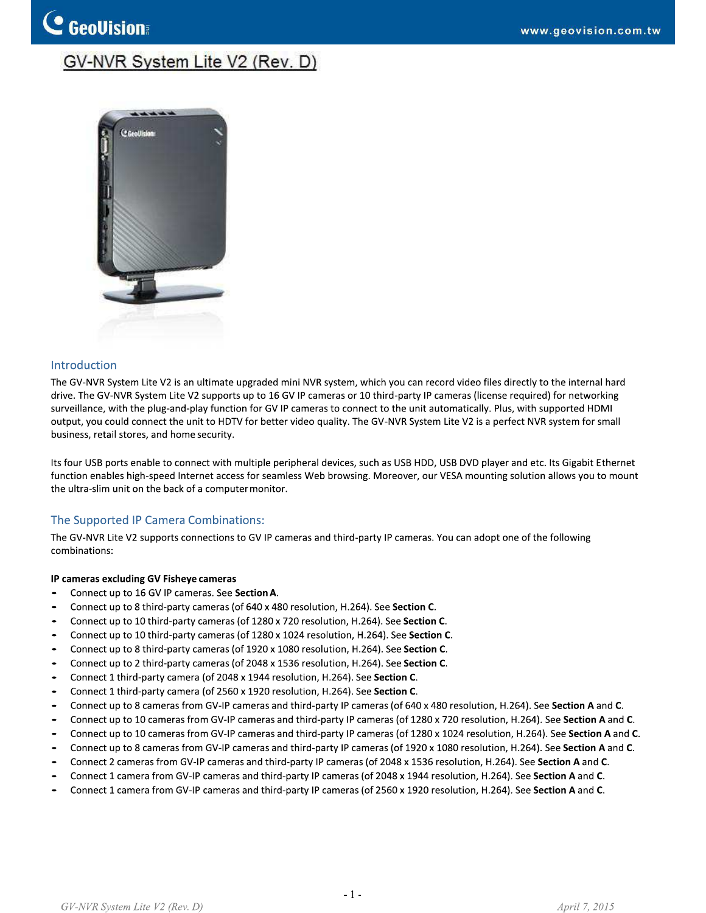## GV-NVR System Lite V2 (Rev. D)



#### **Introduction**

**C** GeoVision

The GV-NVR System Lite V2 is an ultimate upgraded mini NVR system, which you can record video files directly to the internal hard drive. The GV-NVR System Lite V2 supports up to 16 GV IP cameras or 10 third-party IP cameras (license required) for networking surveillance, with the plug-and-play function for GV IP cameras to connect to the unit automatically. Plus, with supported HDMI output, you could connect the unit to HDTV for better video quality. The GV-NVR System Lite V2 is a perfect NVR system for small business, retail stores, and home security.

Its four USB ports enable to connect with multiple peripheral devices, such as USB HDD, USB DVD player and etc. Its Gigabit Ethernet function enables high-speed Internet access for seamless Web browsing. Moreover, our VESA mounting solution allows you to mount the ultra-slim unit on the back of a computer monitor.

#### The Supported IP Camera Combinations:

The GV-NVR Lite V2 supports connections to GV IP cameras and third-party IP cameras. You can adopt one of the following combinations:

#### IP cameras excluding GV Fisheye cameras

- . Connect up to 16 GV IP cameras. See Section A.
- Connect up to 8 third-party cameras (of 640 x 480 resolution, H.264). See Section C.  $\bullet$
- Connect up to 10 third-party cameras (of 1280 x 720 resolution, H.264). See Section C.
- Connect up to 10 third-party cameras (of 1280 x 1024 resolution, H.264). See Section C.  $\bullet$
- Connect up to 8 third-party cameras (of 1920 x 1080 resolution, H.264). See Section C. .
- . Connect up to 2 third-party cameras (of 2048 x 1536 resolution, H.264). See Section C.
- $\overline{\phantom{0}}$ Connect 1 third-party camera (of 2048 x 1944 resolution, H.264). See Section C.
- . Connect 1 third-party camera (of 2560 x 1920 resolution, H.264). See Section C.
- Connect up to 8 cameras from GV-IP cameras and third-party IP cameras (of 640 x 480 resolution, H.264). See Section A and C.
- Connect up to 10 cameras from GV-IP cameras and third-party IP cameras (of 1280 x 720 resolution, H.264). See Section A and C. .
- . Connect up to 10 cameras from GV-IP cameras and third-party IP cameras (of 1280 x 1024 resolution, H.264). See Section A and C.
- $\bullet$ Connect up to 8 cameras from GV-IP cameras and third-party IP cameras (of 1920 x 1080 resolution, H.264). See Section A and C.
- Connect 2 cameras from GV-IP cameras and third-party IP cameras (of 2048 x 1536 resolution, H.264). See Section A and C. .
- Connect 1 camera from GV-IP cameras and third-party IP cameras (of 2048 x 1944 resolution, H.264). See Section A and C. .
- Connect 1 camera from GV-IP cameras and third-party IP cameras (of 2560 x 1920 resolution, H.264). See Section A and C.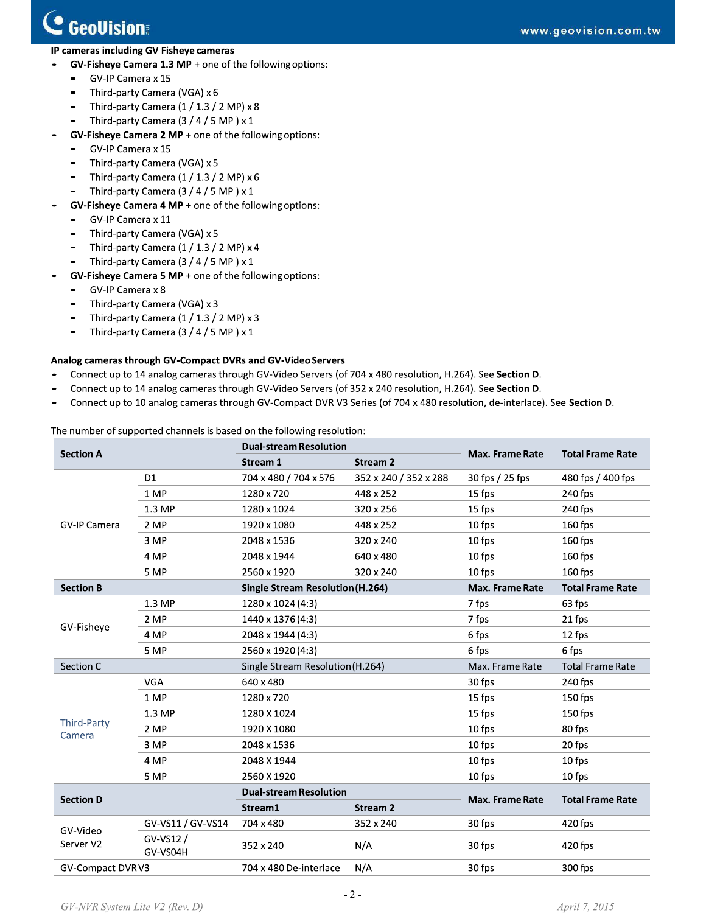**College** 

- -
	-
	-
	-
- -
	-
	-
	-
- -
	-
	-
	-
- **C GCOUISION:**<br>
IP cameras including GV Fisheye cameras<br>
 GV-Fisheye Camera 1.3 MP + one of the following options:<br>
 GV-IP Camera x 15<br>
 Third-party Camera (IGA) x 6<br>
 Third-party Camera (1/1.3/2 MP) x 8<br>
 Third-part
	-
	-
	-
	-

- 
- 
- 

|                       | Third-party Camera (VGA) x 3                   |                                                                        |                                                                                                                                                                                                                                                                                                                                                    |                           |                         |
|-----------------------|------------------------------------------------|------------------------------------------------------------------------|----------------------------------------------------------------------------------------------------------------------------------------------------------------------------------------------------------------------------------------------------------------------------------------------------------------------------------------------------|---------------------------|-------------------------|
|                       | Third-party Camera $(1 / 1.3 / 2 MP) \times 3$ |                                                                        |                                                                                                                                                                                                                                                                                                                                                    |                           |                         |
|                       | Third-party Camera (3 / 4 / 5 MP) x 1          |                                                                        |                                                                                                                                                                                                                                                                                                                                                    |                           |                         |
|                       |                                                | Analog cameras through GV-Compact DVRs and GV-Video Servers            | Connect up to 14 analog cameras through GV-Video Servers (of 704 x 480 resolution, H.264). See Section D.<br>Connect up to 14 analog cameras through GV-Video Servers (of 352 x 240 resolution, H.264). See Section D.<br>Connect up to 10 analog cameras through GV-Compact DVR V3 Series (of 704 x 480 resolution, de-interlace). See Section D. |                           |                         |
|                       |                                                | The number of supported channels is based on the following resolution: |                                                                                                                                                                                                                                                                                                                                                    |                           |                         |
| <b>Section A</b>      |                                                | <b>Dual-stream Resolution</b>                                          |                                                                                                                                                                                                                                                                                                                                                    | <b>Max. Frame Rate</b>    | <b>Total Frame Rate</b> |
|                       | D <sub>1</sub>                                 | Stream 1<br>704 x 480 / 704 x 576                                      | <b>Stream 2</b>                                                                                                                                                                                                                                                                                                                                    |                           | 480 fps / 400 fps       |
|                       | 1 MP                                           | 1280 x 720                                                             | 352 x 240 / 352 x 288<br>448 x 252                                                                                                                                                                                                                                                                                                                 | 30 fps / 25 fps<br>15 fps | 240 fps                 |
|                       | 1.3 MP                                         | 1280 x 1024                                                            | 320 x 256                                                                                                                                                                                                                                                                                                                                          | 15 fps                    | 240 fps                 |
| GV-IP Camera          | 2 MP                                           | 1920 x 1080                                                            | 448 x 252                                                                                                                                                                                                                                                                                                                                          | 10 fps                    | 160 fps                 |
|                       | 3 MP                                           | 2048 x 1536                                                            | 320 x 240                                                                                                                                                                                                                                                                                                                                          | 10 fps                    | 160 fps                 |
|                       | 4 MP                                           | 2048 x 1944                                                            | 640 x 480                                                                                                                                                                                                                                                                                                                                          | 10 fps                    | 160 fps                 |
|                       | 5 MP                                           | 2560 x 1920                                                            | 320 x 240                                                                                                                                                                                                                                                                                                                                          | 10 fps                    | 160 fps                 |
| <b>Section B</b>      |                                                | <b>Single Stream Resolution (H.264)</b>                                |                                                                                                                                                                                                                                                                                                                                                    | <b>Max. Frame Rate</b>    | <b>Total Frame Rate</b> |
|                       | 1.3 MP                                         | $1280 \times 1024$ (4:3)                                               |                                                                                                                                                                                                                                                                                                                                                    | 7 fps                     | 63 fps                  |
|                       | 2 MP                                           | 1440 x 1376 (4:3)                                                      |                                                                                                                                                                                                                                                                                                                                                    | 7 fps                     | 21 fps                  |
| GV-Fisheye            | 4 MP                                           | 2048 x 1944 (4:3)                                                      |                                                                                                                                                                                                                                                                                                                                                    | 6 fps                     | 12 fps                  |
|                       | 5 MP                                           | 2560 x 1920 (4:3)                                                      |                                                                                                                                                                                                                                                                                                                                                    | 6 fps                     | 6 fps                   |
| Section C             |                                                | Single Stream Resolution (H.264)                                       |                                                                                                                                                                                                                                                                                                                                                    | Max. Frame Rate           | <b>Total Frame Rate</b> |
|                       | <b>VGA</b>                                     | 640 x 480                                                              |                                                                                                                                                                                                                                                                                                                                                    | 30 fps                    | 240 fps                 |
|                       | 1 MP                                           | 1280 x 720                                                             |                                                                                                                                                                                                                                                                                                                                                    | 15 fps                    | $150$ fps               |
|                       | 1.3 MP                                         | 1280 X 1024                                                            |                                                                                                                                                                                                                                                                                                                                                    | 15 fps                    | 150 fps                 |
| Third-Party<br>Camera | 2 MP                                           | 1920 X 1080                                                            |                                                                                                                                                                                                                                                                                                                                                    | 10 fps                    | 80 fps                  |
|                       | 3 MP                                           | 2048 x 1536                                                            |                                                                                                                                                                                                                                                                                                                                                    | 10 fps                    | 20 fps                  |
|                       | 4 MP                                           | 2048 X 1944                                                            |                                                                                                                                                                                                                                                                                                                                                    | 10 fps                    | 10 fps                  |
|                       | 5 MP                                           | 2560 X 1920                                                            |                                                                                                                                                                                                                                                                                                                                                    | 10 tps                    | 10 fps                  |
| <b>Section D</b>      |                                                | <b>Dual-stream Resolution</b>                                          |                                                                                                                                                                                                                                                                                                                                                    |                           |                         |
|                       |                                                | Stream1                                                                | <b>Stream 2</b>                                                                                                                                                                                                                                                                                                                                    | Max. Frame Rate           | <b>Total Frame Rate</b> |
| GV-Video<br>Server V2 | GV-VS11 / GV-VS14                              | 704 x 480                                                              | 352 x 240                                                                                                                                                                                                                                                                                                                                          | 30 fps                    | 420 fps                 |
|                       | GV-VS12 /<br>GV-VS04H                          | 352 x 240                                                              | N/A                                                                                                                                                                                                                                                                                                                                                | 30 fps                    | 420 fps                 |
| GV-Compact DVRV3      |                                                | 704 x 480 De-interlace                                                 | N/A                                                                                                                                                                                                                                                                                                                                                | 30 fps                    | 300 fps                 |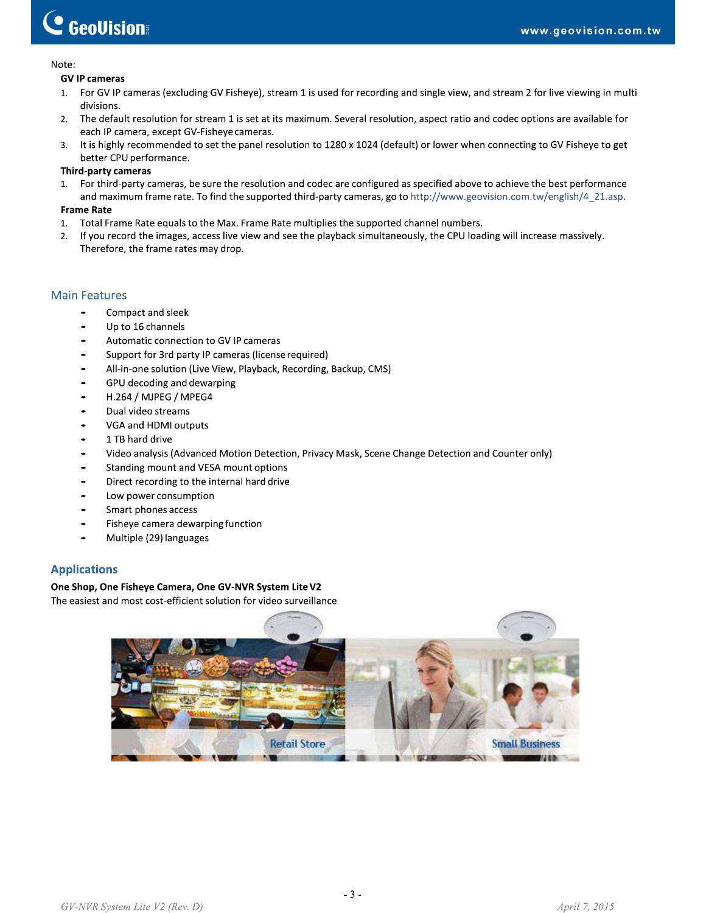## **C** GeoVision

#### Note:

#### **GV IP cameras**

- 1. For GV IP cameras (excluding GV Fisheye), stream 1 is used for recording and single view, and stream 2 for live viewing in multi divisions.
- $2.$ The default resolution for stream 1 is set at its maximum. Several resolution, aspect ratio and codec options are available for each IP camera, except GV-Fisheye cameras.
- It is highly recommended to set the panel resolution to 1280 x 1024 (default) or lower when connecting to GV Fisheye to get 3. better CPU performance.

#### **Third-party cameras**

1. For third-party cameras, be sure the resolution and codec are configured as specified above to achieve the best performance and maximum frame rate. To find the supported third-party cameras, go to http://www.geovision.com.tw/english/4\_21.asp.

#### **Frame Rate**

- Total Frame Rate equals to the Max. Frame Rate multiplies the supported channel numbers.  $1.$
- If you record the images, access live view and see the playback simultaneously, the CPU loading will increase massively.  $2.$ Therefore, the frame rates may drop.

### **Main Features**

- Compact and sleek  $\bullet$
- Up to 16 channels
- Automatic connection to GV IP cameras
- Support for 3rd party IP cameras (license required)
- All-in-one solution (Live View, Playback, Recording, Backup, CMS)
- GPU decoding and dewarping
- H.264 / MJPEG / MPEG4
- Dual video streams
- VGA and HDMI outputs
- 1 TB hard drive
- Video analysis (Advanced Motion Detection, Privacy Mask, Scene Change Detection and Counter only)
- Standing mount and VESA mount options
- Direct recording to the internal hard drive
- Low power consumption
- Smart phones access
- Fisheye camera dewarping function
- $\bullet$ Multiple (29) languages

#### **Applications**

#### One Shop, One Fisheye Camera, One GV-NVR System Lite V2

The easiest and most cost-efficient solution for video surveillance

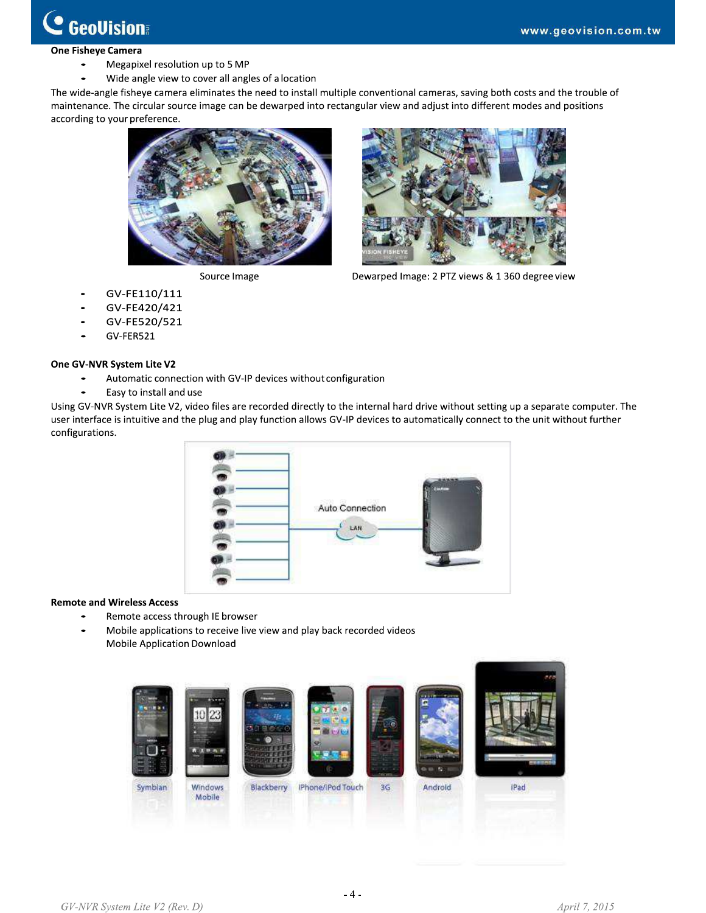## Ò **GeoVision**

#### **One Fisheye Camera**

- Megapixel resolution up to 5 MP
- Wide angle view to cover all angles of a location

The wide-angle fisheye camera eliminates the need to install multiple conventional cameras, saving both costs and the trouble of maintenance. The circular source image can be dewarped into rectangular view and adjust into different modes and positions according to your preference.



Source Image



Dewarped Image: 2 PTZ views & 1 360 degree view

- GV-FE110/111
- GV-FE420/421
- GV-FE520/521
- GV-FER521

#### One GV-NVR System Lite V2

- Automatic connection with GV-IP devices without configuration
- Easy to install and use

Using GV-NVR System Lite V2, video files are recorded directly to the internal hard drive without setting up a separate computer. The user interface is intuitive and the plug and play function allows GV-IP devices to automatically connect to the unit without further configurations.



#### **Remote and Wireless Access**

- Remote access through IE browser
- Mobile applications to receive live view and play back recorded videos Mobile Application Download

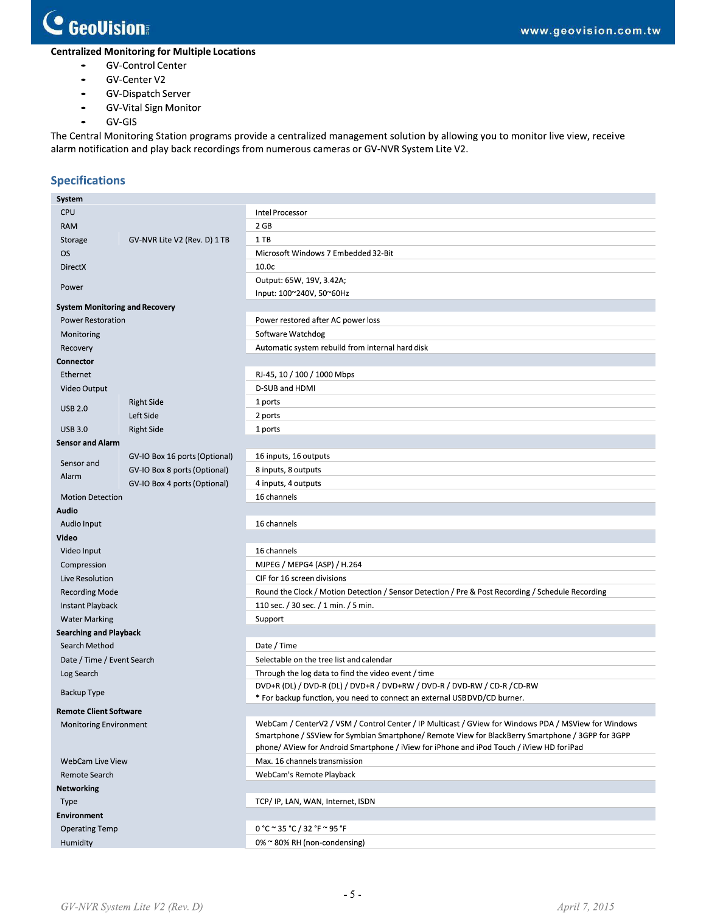# C GeoVision

## **Centralized Monitoring for Multiple Locations**

- **GV-Control Center**  $\bullet$
- GV-Center V2
- GV-Dispatch Server  $\bullet$
- **GV-Vital Sign Monitor**  $\bullet$
- $\bullet$ GV-GIS

The Central Monitoring Station programs provide a centralized management solution by allowing you to monitor live view, receive alarm notification and play back recordings from numerous cameras or GV-NVR System Lite V2.

## **Specifications**

| System                                |                               |                                                                                                      |  |  |  |
|---------------------------------------|-------------------------------|------------------------------------------------------------------------------------------------------|--|--|--|
| <b>CPU</b>                            |                               | Intel Processor                                                                                      |  |  |  |
| <b>RAM</b>                            |                               | 2 GB                                                                                                 |  |  |  |
| Storage                               | GV-NVR Lite V2 (Rev. D) 1 TB  | 1TB                                                                                                  |  |  |  |
| <b>OS</b>                             |                               | Microsoft Windows 7 Embedded 32-Bit                                                                  |  |  |  |
| <b>DirectX</b>                        |                               | 10.0 <sub>c</sub>                                                                                    |  |  |  |
| Power                                 |                               | Output: 65W, 19V, 3.42A;<br>Input: 100~240V, 50~60Hz                                                 |  |  |  |
| <b>System Monitoring and Recovery</b> |                               |                                                                                                      |  |  |  |
| <b>Power Restoration</b>              |                               | Power restored after AC power loss                                                                   |  |  |  |
| Monitoring                            |                               | Software Watchdog                                                                                    |  |  |  |
| Recovery                              |                               | Automatic system rebuild from internal hard disk                                                     |  |  |  |
|                                       |                               |                                                                                                      |  |  |  |
| Connector                             |                               |                                                                                                      |  |  |  |
| Ethernet                              |                               | RJ-45, 10 / 100 / 1000 Mbps                                                                          |  |  |  |
| Video Output                          |                               | D-SUB and HDMI                                                                                       |  |  |  |
| <b>USB 2.0</b>                        | <b>Right Side</b>             | 1 ports                                                                                              |  |  |  |
|                                       | Left Side                     | 2 ports                                                                                              |  |  |  |
| <b>USB 3.0</b>                        | <b>Right Side</b>             | 1 ports                                                                                              |  |  |  |
| <b>Sensor and Alarm</b>               |                               |                                                                                                      |  |  |  |
| Sensor and                            | GV-IO Box 16 ports (Optional) | 16 inputs, 16 outputs                                                                                |  |  |  |
| Alarm                                 | GV-IO Box 8 ports (Optional)  | 8 inputs, 8 outputs                                                                                  |  |  |  |
|                                       | GV-IO Box 4 ports (Optional)  | 4 inputs, 4 outputs                                                                                  |  |  |  |
| <b>Motion Detection</b>               |                               | 16 channels                                                                                          |  |  |  |
| Audio                                 |                               |                                                                                                      |  |  |  |
| Audio Input                           |                               | 16 channels                                                                                          |  |  |  |
| Video                                 |                               |                                                                                                      |  |  |  |
| Video Input                           |                               | 16 channels                                                                                          |  |  |  |
| Compression                           |                               | MJPEG / MEPG4 (ASP) / H.264                                                                          |  |  |  |
| Live Resolution                       |                               | CIF for 16 screen divisions                                                                          |  |  |  |
| <b>Recording Mode</b>                 |                               | Round the Clock / Motion Detection / Sensor Detection / Pre & Post Recording / Schedule Recording    |  |  |  |
| Instant Playback                      |                               | 110 sec. / 30 sec. / 1 min. / 5 min.                                                                 |  |  |  |
| <b>Water Marking</b>                  |                               | Support                                                                                              |  |  |  |
| <b>Searching and Playback</b>         |                               |                                                                                                      |  |  |  |
| Search Method                         |                               | Date / Time                                                                                          |  |  |  |
| Date / Time / Event Search            |                               | Selectable on the tree list and calendar                                                             |  |  |  |
| Log Search                            |                               | Through the log data to find the video event / time                                                  |  |  |  |
| <b>Backup Type</b>                    |                               | DVD+R (DL) / DVD-R (DL) / DVD+R / DVD+RW / DVD-R / DVD-RW / CD-R / CD-RW                             |  |  |  |
| Remote Client Software                |                               | * For backup function, you need to connect an external USBDVD/CD burner.                             |  |  |  |
| <b>Monitoring Environment</b>         |                               | WebCam / CenterV2 / VSM / Control Center / IP Multicast / GView for Windows PDA / MSView for Windows |  |  |  |
|                                       |                               | Smartphone / SSView for Symbian Smartphone/ Remote View for BlackBerry Smartphone / 3GPP for 3GPP    |  |  |  |
|                                       |                               | phone/ AView for Android Smartphone / iView for iPhone and iPod Touch / iView HD foriPad             |  |  |  |
| WebCam Live View                      |                               | Max. 16 channels transmission                                                                        |  |  |  |
| Remote Search                         |                               | WebCam's Remote Playback                                                                             |  |  |  |
| Networking                            |                               |                                                                                                      |  |  |  |
| Type                                  |                               | TCP/ IP, LAN, WAN, Internet, ISDN                                                                    |  |  |  |
| <b>Environment</b>                    |                               |                                                                                                      |  |  |  |
| <b>Operating Temp</b>                 |                               | $0 °C \approx 35 °C / 32 °F \approx 95 °F$                                                           |  |  |  |
| Humidity                              |                               | 0% ~ 80% RH (non-condensing)                                                                         |  |  |  |
|                                       |                               |                                                                                                      |  |  |  |